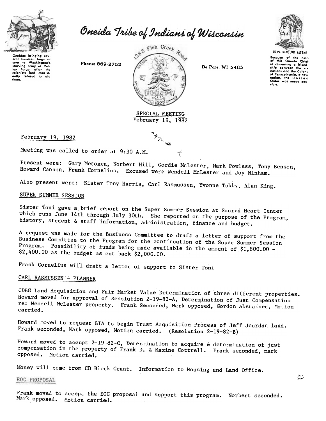

Oneida Tribe of Indians of Wisconsin

Oneidas bringing sov-<br>eral hundred bags of oral hundrod bags of<br>corn to Washington's starving army at Val-<br>Iey Forge, after the<br>colonists had consist-<br>ently refused to aid 'hQm.

Phone: 869-2752



Dc Perc, WI 54115



Because of the help<br>of this Oneida Chief in comenting a friend<br>ship between the si nations ond the Colony of Pennsylvania, a new<br>nation, the Unite c was made pos-States<br>sible.

 $\circ$ 

February 19, 1982

'-

February 19, 1982

Meeting was called to order at 9:30 A.M.

Present were: Gary Metoxen, Norbert Hill, Gordie McLester, Mark Powless, Tony Benson, Howard Cannon, Frank Cornelius. Excused were Wendell McLester and Joy Ninham.

~;

~ \.

Also present were: Sister Tony Harris, Carl Rasmussen, Yvonne Tubby, Alan King.

## SUPER SUMMER SESSION

Sister Toni gave a brief report on the Super Summer Session at Sacred Heart Center which runs June 14th through July 30th. She reported on the purpose of the Program, history, student & staff 'information, administration, finance and budget.

A request was made for the Business Committee to draft a letter of support from the Business Committee to the Program for the continuation of the Super Summer Session Program. Possibility of funds being made available in the amount of  $$1,800.00$  - $$2,400.00$  as the budget as cut back  $$2,000.00$ .

Frank Cornelius will draft a letter of support to Sister Toni

## CARL RASMUSSEN - PLANNER

CDBG Land Acquisition and Fair Market Value Determination of three different properties. Howard moved for approval of Resolution 2-19-82-A, Determination of Just Compensation re: Wendell McLester property. Frank Seconded, Mark opposed, Gordon abstained, Motion carried.

Howard moved to request BIA to begin Trust Acquisition Process of Jeff Jourdan land. Frank seconded, Mark opposed, Motion carried. (Resolution 2-19-82-B)

Howard moved to accept 2-19-82-C, Determination to acquire & determination of just compensation in the property of Frank D. & Maxine Cottrell. Frank seconded, mark opposed. Motion carried.

Money will come from CD Block Grant. Information to Housing and Land Office.

EOC PROPOSAL

Frank moved to accept the EOC proposal and support this program. Mark opposed. Motion carried. Norbert seconded.